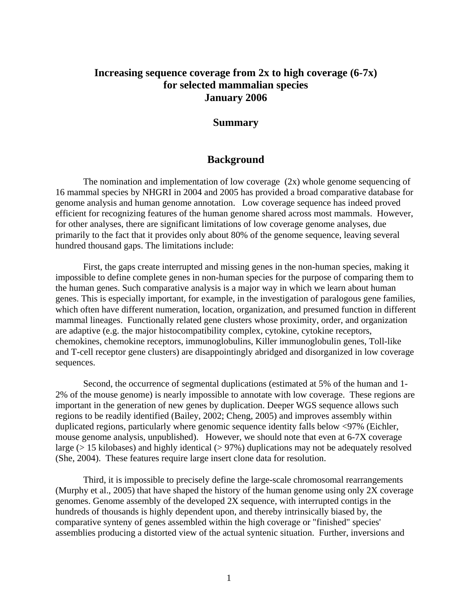# **Increasing sequence coverage from 2x to high coverage (6-7x) for selected mammalian species January 2006**

## **Summary**

## **Background**

The nomination and implementation of low coverage (2x) whole genome sequencing of 16 mammal species by NHGRI in 2004 and 2005 has provided a broad comparative database for genome analysis and human genome annotation. Low coverage sequence has indeed proved efficient for recognizing features of the human genome shared across most mammals. However, for other analyses, there are significant limitations of low coverage genome analyses, due primarily to the fact that it provides only about 80% of the genome sequence, leaving several hundred thousand gaps. The limitations include:

First, the gaps create interrupted and missing genes in the non-human species, making it impossible to define complete genes in non-human species for the purpose of comparing them to the human genes. Such comparative analysis is a major way in which we learn about human genes. This is especially important, for example, in the investigation of paralogous gene families, which often have different numeration, location, organization, and presumed function in different mammal lineages. Functionally related gene clusters whose proximity, order, and organization are adaptive (e.g. the major histocompatibility complex, cytokine, cytokine receptors, chemokines, chemokine receptors, immunoglobulins, Killer immunoglobulin genes, Toll-like and T-cell receptor gene clusters) are disappointingly abridged and disorganized in low coverage sequences.

Second, the occurrence of segmental duplications (estimated at 5% of the human and 1- 2% of the mouse genome) is nearly impossible to annotate with low coverage. These regions are important in the generation of new genes by duplication. Deeper WGS sequence allows such regions to be readily identified (Bailey, 2002; Cheng, 2005) and improves assembly within duplicated regions, particularly where genomic sequence identity falls below <97% (Eichler, mouse genome analysis, unpublished). However, we should note that even at 6-7X coverage large (> 15 kilobases) and highly identical (> 97%) duplications may not be adequately resolved (She, 2004). These features require large insert clone data for resolution.

Third, it is impossible to precisely define the large-scale chromosomal rearrangements (Murphy et al., 2005) that have shaped the history of the human genome using only 2X coverage genomes. Genome assembly of the developed 2X sequence, with interrupted contigs in the hundreds of thousands is highly dependent upon, and thereby intrinsically biased by, the comparative synteny of genes assembled within the high coverage or "finished" species' assemblies producing a distorted view of the actual syntenic situation. Further, inversions and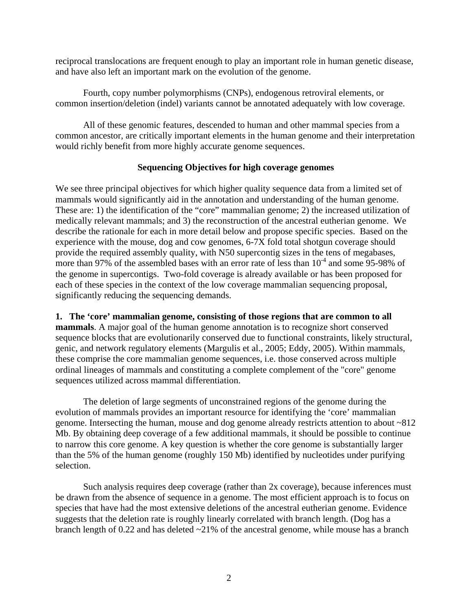reciprocal translocations are frequent enough to play an important role in human genetic disease, and have also left an important mark on the evolution of the genome.

Fourth, copy number polymorphisms (CNPs), endogenous retroviral elements, or common insertion/deletion (indel) variants cannot be annotated adequately with low coverage.

All of these genomic features, descended to human and other mammal species from a common ancestor, are critically important elements in the human genome and their interpretation would richly benefit from more highly accurate genome sequences.

## **Sequencing Objectives for high coverage genomes**

We see three principal objectives for which higher quality sequence data from a limited set of mammals would significantly aid in the annotation and understanding of the human genome. These are: 1) the identification of the "core" mammalian genome; 2) the increased utilization of medically relevant mammals; and 3) the reconstruction of the ancestral eutherian genome. We describe the rationale for each in more detail below and propose specific species. Based on the experience with the mouse, dog and cow genomes, 6-7X fold total shotgun coverage should provide the required assembly quality, with N50 supercontig sizes in the tens of megabases, more than 97% of the assembled bases with an error rate of less than  $10^{-4}$  and some 95-98% of the genome in supercontigs. Two-fold coverage is already available or has been proposed for each of these species in the context of the low coverage mammalian sequencing proposal, significantly reducing the sequencing demands.

## **1. The 'core' mammalian genome, consisting of those regions that are common to all**

**mammals**. A major goal of the human genome annotation is to recognize short conserved sequence blocks that are evolutionarily conserved due to functional constraints, likely structural, genic, and network regulatory elements (Margulis et al., 2005; Eddy, 2005). Within mammals, these comprise the core mammalian genome sequences, i.e. those conserved across multiple ordinal lineages of mammals and constituting a complete complement of the "core" genome sequences utilized across mammal differentiation.

The deletion of large segments of unconstrained regions of the genome during the evolution of mammals provides an important resource for identifying the 'core' mammalian genome. Intersecting the human, mouse and dog genome already restricts attention to about ~812 Mb. By obtaining deep coverage of a few additional mammals, it should be possible to continue to narrow this core genome. A key question is whether the core genome is substantially larger than the 5% of the human genome (roughly 150 Mb) identified by nucleotides under purifying selection.

Such analysis requires deep coverage (rather than 2x coverage), because inferences must be drawn from the absence of sequence in a genome. The most efficient approach is to focus on species that have had the most extensive deletions of the ancestral eutherian genome. Evidence suggests that the deletion rate is roughly linearly correlated with branch length. (Dog has a branch length of 0.22 and has deleted ~21% of the ancestral genome, while mouse has a branch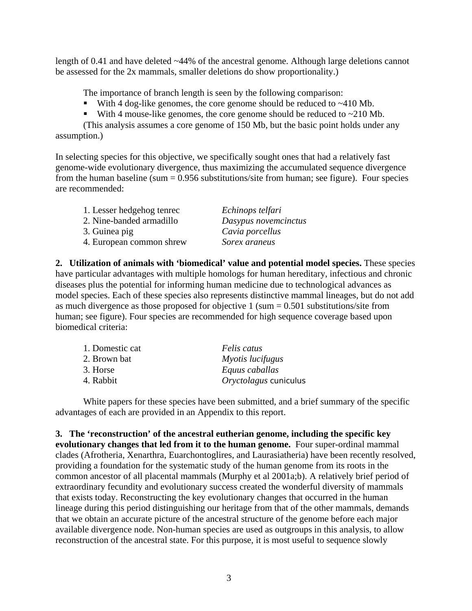length of 0.41 and have deleted ~44% of the ancestral genome. Although large deletions cannot be assessed for the 2x mammals, smaller deletions do show proportionality.)

The importance of branch length is seen by the following comparison:

- With 4 dog-like genomes, the core genome should be reduced to  $\sim$ 410 Mb.
- With 4 mouse-like genomes, the core genome should be reduced to  $\sim$  210 Mb.

(This analysis assumes a core genome of 150 Mb, but the basic point holds under any assumption.)

In selecting species for this objective, we specifically sought ones that had a relatively fast genome-wide evolutionary divergence, thus maximizing the accumulated sequence divergence from the human baseline (sum  $= 0.956$  substitutions/site from human; see figure). Four species are recommended:

| 1. Lesser hedgehog tenrec | Echinops telfari     |
|---------------------------|----------------------|
| 2. Nine-banded armadillo  | Dasypus novemcinctus |
| 3. Guinea pig             | Cavia porcellus      |
| 4. European common shrew  | Sorex araneus        |

**2. Utilization of animals with 'biomedical' value and potential model species.** These species have particular advantages with multiple homologs for human hereditary, infectious and chronic diseases plus the potential for informing human medicine due to technological advances as model species. Each of these species also represents distinctive mammal lineages, but do not add as much divergence as those proposed for objective  $1 \text{ (sum = } 0.501 \text{ substitutions/site from})$ human; see figure). Four species are recommended for high sequence coverage based upon biomedical criteria:

| 1. Domestic cat | <i>Felis catus</i>    |
|-----------------|-----------------------|
| 2. Brown bat    | Myotis lucifugus      |
| 3. Horse        | Equus caballas        |
| 4. Rabbit       | Oryctolagus cuniculus |

White papers for these species have been submitted, and a brief summary of the specific advantages of each are provided in an Appendix to this report.

**3. The 'reconstruction' of the ancestral eutherian genome, including the specific key evolutionary changes that led from it to the human genome.** Four super-ordinal mammal clades (Afrotheria, Xenarthra, Euarchontoglires, and Laurasiatheria) have been recently resolved, providing a foundation for the systematic study of the human genome from its roots in the common ancestor of all placental mammals (Murphy et al 2001a;b). A relatively brief period of extraordinary fecundity and evolutionary success created the wonderful diversity of mammals that exists today. Reconstructing the key evolutionary changes that occurred in the human lineage during this period distinguishing our heritage from that of the other mammals, demands that we obtain an accurate picture of the ancestral structure of the genome before each major available divergence node. Non-human species are used as outgroups in this analysis, to allow reconstruction of the ancestral state. For this purpose, it is most useful to sequence slowly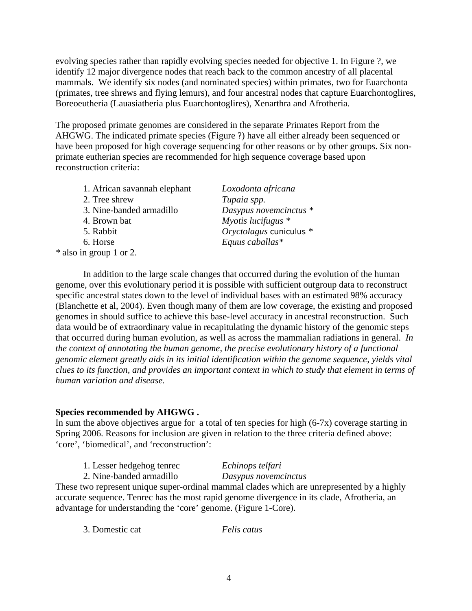evolving species rather than rapidly evolving species needed for objective 1. In Figure ?, we identify 12 major divergence nodes that reach back to the common ancestry of all placental mammals. We identify six nodes (and nominated species) within primates, two for Euarchonta (primates, tree shrews and flying lemurs), and four ancestral nodes that capture Euarchontoglires, Boreoeutheria (Lauasiatheria plus Euarchontoglires), Xenarthra and Afrotheria.

The proposed primate genomes are considered in the separate Primates Report from the AHGWG. The indicated primate species (Figure ?) have all either already been sequenced or have been proposed for high coverage sequencing for other reasons or by other groups. Six nonprimate eutherian species are recommended for high sequence coverage based upon reconstruction criteria:

| Loxodonta africana      |
|-------------------------|
| Tupaia spp.             |
| Dasypus novemcinctus *  |
| Myotis lucifugus $*$    |
| Oryctolagus cuniculus * |
| Equus caballas*         |
|                         |
|                         |

In addition to the large scale changes that occurred during the evolution of the human genome, over this evolutionary period it is possible with sufficient outgroup data to reconstruct specific ancestral states down to the level of individual bases with an estimated 98% accuracy (Blanchette et al, 2004). Even though many of them are low coverage, the existing and proposed genomes in should suffice to achieve this base-level accuracy in ancestral reconstruction. Such data would be of extraordinary value in recapitulating the dynamic history of the genomic steps that occurred during human evolution, as well as across the mammalian radiations in general. *In the context of annotating the human genome, the precise evolutionary history of a functional genomic element greatly aids in its initial identification within the genome sequence, yields vital clues to its function, and provides an important context in which to study that element in terms of human variation and disease.* 

## **Species recommended by AHGWG .**

In sum the above objectives argue for a total of ten species for high (6-7x) coverage starting in Spring 2006. Reasons for inclusion are given in relation to the three criteria defined above: 'core', 'biomedical', and 'reconstruction':

|       |  | 1. Lesser hedgehog tenrec | Echinops telfari |  |
|-------|--|---------------------------|------------------|--|
| - - - |  |                           |                  |  |

2. Nine-banded armadillo *Dasypus novemcinctus* 

These two represent unique super-ordinal mammal clades which are unrepresented by a highly accurate sequence. Tenrec has the most rapid genome divergence in its clade, Afrotheria, an advantage for understanding the 'core' genome. (Figure 1-Core).

3. Domestic cat *Felis catus*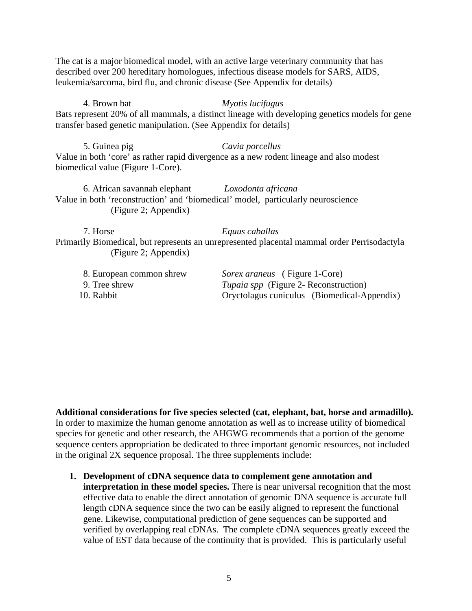The cat is a major biomedical model, with an active large veterinary community that has described over 200 hereditary homologues, infectious disease models for SARS, AIDS, leukemia/sarcoma, bird flu, and chronic disease (See Appendix for details)

4. Brown bat *Myotis lucifugus*  Bats represent 20% of all mammals, a distinct lineage with developing genetics models for gene transfer based genetic manipulation. (See Appendix for details)

5. Guinea pig *Cavia porcellus*  Value in both 'core' as rather rapid divergence as a new rodent lineage and also modest biomedical value (Figure 1-Core).

6. African savannah elephant *Loxodonta africana*  Value in both 'reconstruction' and 'biomedical' model, particularly neuroscience (Figure 2; Appendix)

7. Horse *Equus caballas* Primarily Biomedical, but represents an unrepresented placental mammal order Perrisodactyla (Figure 2; Appendix)

| 8. European common shrew | <i>Sorex araneus</i> (Figure 1-Core)         |
|--------------------------|----------------------------------------------|
| 9. Tree shrew            | <i>Tupaia spp</i> (Figure 2- Reconstruction) |
| 10. Rabbit               | Oryctolagus cuniculus (Biomedical-Appendix)  |

**Additional considerations for five species selected (cat, elephant, bat, horse and armadillo).**  In order to maximize the human genome annotation as well as to increase utility of biomedical species for genetic and other research, the AHGWG recommends that a portion of the genome sequence centers appropriation be dedicated to three important genomic resources, not included in the original 2X sequence proposal. The three supplements include:

**1. Development of cDNA sequence data to complement gene annotation and interpretation in these model species.** There is near universal recognition that the most effective data to enable the direct annotation of genomic DNA sequence is accurate full length cDNA sequence since the two can be easily aligned to represent the functional gene. Likewise, computational prediction of gene sequences can be supported and verified by overlapping real cDNAs. The complete cDNA sequences greatly exceed the value of EST data because of the continuity that is provided. This is particularly useful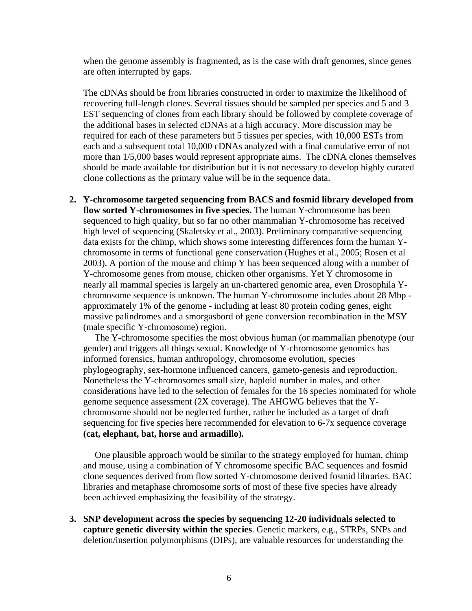when the genome assembly is fragmented, as is the case with draft genomes, since genes are often interrupted by gaps.

The cDNAs should be from libraries constructed in order to maximize the likelihood of recovering full-length clones. Several tissues should be sampled per species and 5 and 3 EST sequencing of clones from each library should be followed by complete coverage of the additional bases in selected cDNAs at a high accuracy. More discussion may be required for each of these parameters but 5 tissues per species, with 10,000 ESTs from each and a subsequent total 10,000 cDNAs analyzed with a final cumulative error of not more than 1/5,000 bases would represent appropriate aims. The cDNA clones themselves should be made available for distribution but it is not necessary to develop highly curated clone collections as the primary value will be in the sequence data.

**2. Y-chromosome targeted sequencing from BACS and fosmid library developed from flow sorted Y-chromosomes in five species.** The human Y-chromosome has been sequenced to high quality, but so far no other mammalian Y-chromosome has received high level of sequencing (Skaletsky et al., 2003). Preliminary comparative sequencing data exists for the chimp, which shows some interesting differences form the human Ychromosome in terms of functional gene conservation (Hughes et al., 2005; Rosen et al 2003). A portion of the mouse and chimp Y has been sequenced along with a number of Y-chromosome genes from mouse, chicken other organisms. Yet Y chromosome in nearly all mammal species is largely an un-chartered genomic area, even Drosophila Ychromosome sequence is unknown. The human Y-chromosome includes about 28 Mbp approximately 1% of the genome - including at least 80 protein coding genes, eight massive palindromes and a smorgasbord of gene conversion recombination in the MSY (male specific Y-chromosome) region.

The Y-chromosome specifies the most obvious human (or mammalian phenotype (our gender) and triggers all things sexual. Knowledge of Y-chromosome genomics has informed forensics, human anthropology, chromosome evolution, species phylogeography, sex-hormone influenced cancers, gameto-genesis and reproduction. Nonetheless the Y-chromosomes small size, haploid number in males, and other considerations have led to the selection of females for the 16 species nominated for whole genome sequence assessment (2X coverage). The AHGWG believes that the Ychromosome should not be neglected further, rather be included as a target of draft sequencing for five species here recommended for elevation to 6-7x sequence coverage **(cat, elephant, bat, horse and armadillo).** 

 One plausible approach would be similar to the strategy employed for human, chimp and mouse, using a combination of Y chromosome specific BAC sequences and fosmid clone sequences derived from flow sorted Y-chromosome derived fosmid libraries. BAC libraries and metaphase chromosome sorts of most of these five species have already been achieved emphasizing the feasibility of the strategy.

**3. SNP development across the species by sequencing 12-20 individuals selected to capture genetic diversity within the species**. Genetic markers, e.g., STRPs, SNPs and deletion/insertion polymorphisms (DIPs), are valuable resources for understanding the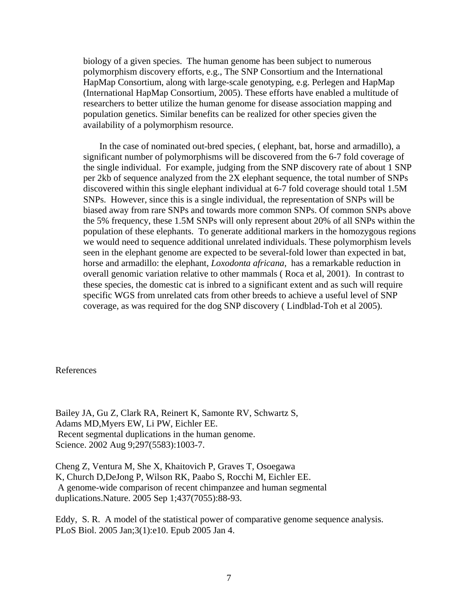biology of a given species. The human genome has been subject to numerous polymorphism discovery efforts, e.g., The SNP Consortium and the International HapMap Consortium, along with large-scale genotyping, e.g. Perlegen and HapMap (International HapMap Consortium, 2005). These efforts have enabled a multitude of researchers to better utilize the human genome for disease association mapping and population genetics. Similar benefits can be realized for other species given the availability of a polymorphism resource.

 In the case of nominated out-bred species, ( elephant, bat, horse and armadillo), a significant number of polymorphisms will be discovered from the 6-7 fold coverage of the single individual. For example, judging from the SNP discovery rate of about 1 SNP per 2kb of sequence analyzed from the 2X elephant sequence, the total number of SNPs discovered within this single elephant individual at 6-7 fold coverage should total 1.5M SNPs. However, since this is a single individual, the representation of SNPs will be biased away from rare SNPs and towards more common SNPs. Of common SNPs above the 5% frequency, these 1.5M SNPs will only represent about 20% of all SNPs within the population of these elephants. To generate additional markers in the homozygous regions we would need to sequence additional unrelated individuals. These polymorphism levels seen in the elephant genome are expected to be several-fold lower than expected in bat, horse and armadillo: the elephant, *Loxodonta africana,* has a remarkable reduction in overall genomic variation relative to other mammals ( Roca et al, 2001). In contrast to these species, the domestic cat is inbred to a significant extent and as such will require specific WGS from unrelated cats from other breeds to achieve a useful level of SNP coverage, as was required for the dog SNP discovery ( Lindblad-Toh et al 2005).

## References

Bailey JA, Gu Z, Clark RA, Reinert K, Samonte RV, Schwartz S, Adams MD,Myers EW, Li PW, Eichler EE. Recent segmental duplications in the human genome. Science. 2002 Aug 9;297(5583):1003-7.

Cheng Z, Ventura M, She X, Khaitovich P, Graves T, Osoegawa K, Church D,DeJong P, Wilson RK, Paabo S, Rocchi M, Eichler EE. A genome-wide comparison of recent chimpanzee and human segmental duplications.Nature. 2005 Sep 1;437(7055):88-93.

Eddy, S. R. A model of the statistical power of comparative genome sequence analysis. PLoS Biol. 2005 Jan;3(1):e10. Epub 2005 Jan 4.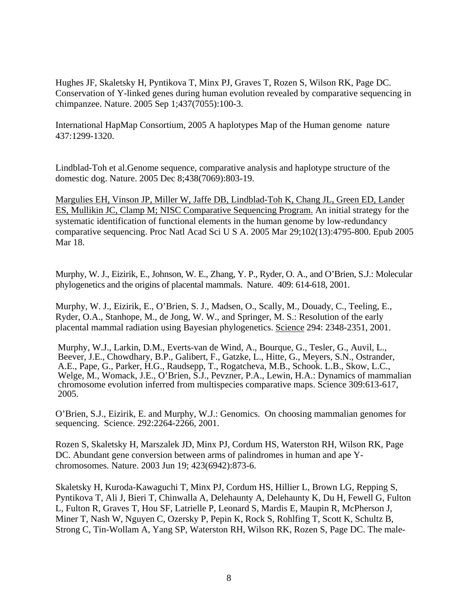Hughes JF, Skaletsky H, Pyntikova T, Minx PJ, Graves T, Rozen S, Wilson RK, Page DC. Conservation of Y-linked genes during human evolution revealed by comparative sequencing in chimpanzee. Nature. 2005 Sep 1;437(7055):100-3.

International HapMap Consortium, 2005 A haplotypes Map of the Human genome nature 437:1299-1320.

Lindblad-Toh et al.Genome sequence, comparative analysis and haplotype structure of the domestic dog. Nature. 2005 Dec 8;438(7069):803-19.

Margulies EH, Vinson JP, Miller W, Jaffe DB, Lindblad-Toh K, Chang JL, Green ED, Lander ES, Mullikin JC, Clamp M; NISC Comparative Sequencing Program. An initial strategy for the systematic identification of functional elements in the human genome by low-redundancy comparative sequencing. Proc Natl Acad Sci U S A. 2005 Mar 29;102(13):4795-800. Epub 2005 Mar 18.

Murphy, W. J., Eizirik, E., Johnson, W. E., Zhang, Y. P., Ryder, O. A., and O'Brien, S.J.: Molecular phylogenetics and the origins of placental mammals. Nature. 409: 614-618, 2001.

Murphy, W. J., Eizirik, E., O'Brien, S. J., Madsen, O., Scally, M., Douady, C., Teeling, E., Ryder, O.A., Stanhope, M., de Jong, W. W., and Springer, M. S.: Resolution of the early placental mammal radiation using Bayesian phylogenetics. Science 294: 2348-2351, 2001.

Murphy, W.J., Larkin, D.M., Everts-van de Wind, A., Bourque, G., Tesler, G., Auvil, L., Beever, J.E., Chowdhary, B.P., Galibert, F., Gatzke, L., Hitte, G., Meyers, S.N., Ostrander, A.E., Pape, G., Parker, H.G., Raudsepp, T., Rogatcheva, M.B., Schook. L.B., Skow, L.C., Welge, M., Womack, J.E., O'Brien, S.J., Pevzner, P.A., Lewin, H.A.: Dynamics of mammalian chromosome evolution inferred from multispecies comparative maps. Science 309:613-617, 2005.

O'Brien, S.J., Eizirik, E. and Murphy, W.J.: Genomics. On choosing mammalian genomes for sequencing. Science. 292:2264-2266, 2001.

Rozen S, Skaletsky H, Marszalek JD, Minx PJ, Cordum HS, Waterston RH, Wilson RK, Page DC. Abundant gene conversion between arms of palindromes in human and ape Ychromosomes. Nature. 2003 Jun 19; 423(6942):873-6.

Skaletsky H, Kuroda-Kawaguchi T, Minx PJ, Cordum HS, Hillier L, Brown LG, Repping S, Pyntikova T, Ali J, Bieri T, Chinwalla A, Delehaunty A, Delehaunty K, Du H, Fewell G, Fulton L, Fulton R, Graves T, Hou SF, Latrielle P, Leonard S, Mardis E, Maupin R, McPherson J, Miner T, Nash W, Nguyen C, Ozersky P, Pepin K, Rock S, Rohlfing T, Scott K, Schultz B, Strong C, Tin-Wollam A, Yang SP, Waterston RH, Wilson RK, Rozen S, Page DC. The male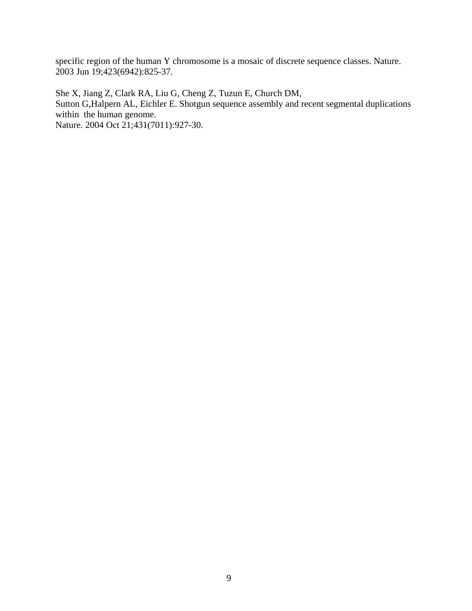specific region of the human Y chromosome is a mosaic of discrete sequence classes. Nature. 2003 Jun 19;423(6942):825-37.

She X, Jiang Z, Clark RA, Liu G, Cheng Z, Tuzun E, Church DM,

Sutton G,Halpern AL, Eichler E. Shotgun sequence assembly and recent segmental duplications within the human genome.

Nature. 2004 Oct 21;431(7011):927-30.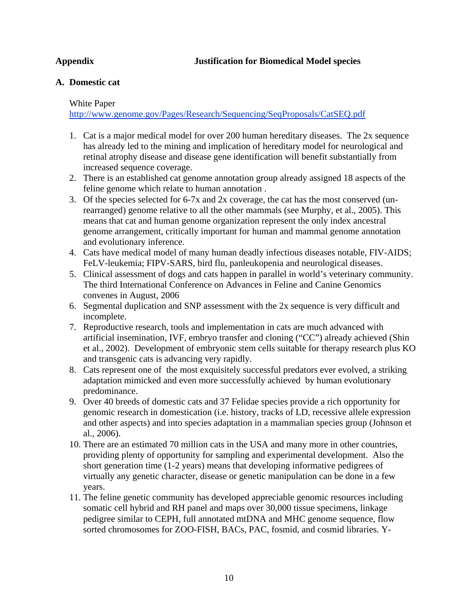# **Appendix Justification for Biomedical Model species**

# **A. Domestic cat**

# White Paper

http://www.genome.gov/Pages/Research/Sequencing/SeqProposals/CatSEQ.pdf

- 1. Cat is a major medical model for over 200 human hereditary diseases. The 2x sequence has already led to the mining and implication of hereditary model for neurological and retinal atrophy disease and disease gene identification will benefit substantially from increased sequence coverage.
- 2. There is an established cat genome annotation group already assigned 18 aspects of the feline genome which relate to human annotation .
- 3. Of the species selected for 6-7x and 2x coverage, the cat has the most conserved (unrearranged) genome relative to all the other mammals (see Murphy, et al., 2005). This means that cat and human genome organization represent the only index ancestral genome arrangement, critically important for human and mammal genome annotation and evolutionary inference.
- 4. Cats have medical model of many human deadly infectious diseases notable, FIV-AIDS; FeLV-leukemia; FIPV-SARS, bird flu, panleukopenia and neurological diseases.
- 5. Clinical assessment of dogs and cats happen in parallel in world's veterinary community. The third International Conference on Advances in Feline and Canine Genomics convenes in August, 2006
- 6. Segmental duplication and SNP assessment with the 2x sequence is very difficult and incomplete.
- 7. Reproductive research, tools and implementation in cats are much advanced with artificial insemination, IVF, embryo transfer and cloning ("CC") already achieved (Shin et al., 2002). Development of embryonic stem cells suitable for therapy research plus KO and transgenic cats is advancing very rapidly.
- 8. Cats represent one of the most exquisitely successful predators ever evolved, a striking adaptation mimicked and even more successfully achieved by human evolutionary predominance.
- 9. Over 40 breeds of domestic cats and 37 Felidae species provide a rich opportunity for genomic research in domestication (i.e. history, tracks of LD, recessive allele expression and other aspects) and into species adaptation in a mammalian species group (Johnson et al., 2006).
- 10. There are an estimated 70 million cats in the USA and many more in other countries, providing plenty of opportunity for sampling and experimental development. Also the short generation time (1-2 years) means that developing informative pedigrees of virtually any genetic character, disease or genetic manipulation can be done in a few years.
- 11. The feline genetic community has developed appreciable genomic resources including somatic cell hybrid and RH panel and maps over 30,000 tissue specimens, linkage pedigree similar to CEPH, full annotated mtDNA and MHC genome sequence, flow sorted chromosomes for ZOO-FISH, BACs, PAC, fosmid, and cosmid libraries. Y-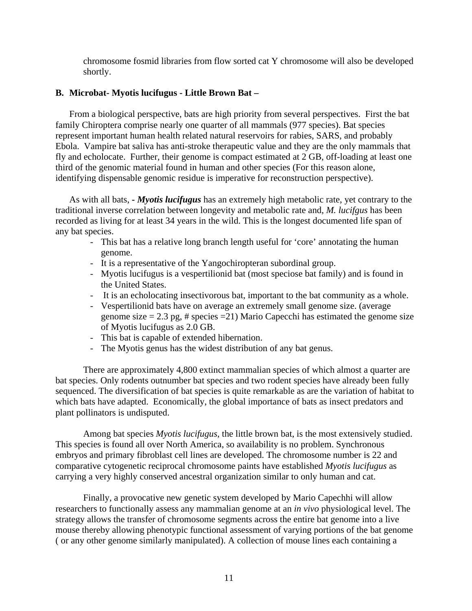chromosome fosmid libraries from flow sorted cat Y chromosome will also be developed shortly.

# **B. Microbat- Myotis lucifugus - Little Brown Bat –**

From a biological perspective, bats are high priority from several perspectives. First the bat family Chiroptera comprise nearly one quarter of all mammals (977 species). Bat species represent important human health related natural reservoirs for rabies, SARS, and probably Ebola. Vampire bat saliva has anti-stroke therapeutic value and they are the only mammals that fly and echolocate. Further, their genome is compact estimated at 2 GB, off-loading at least one third of the genomic material found in human and other species (For this reason alone, identifying dispensable genomic residue is imperative for reconstruction perspective).

As with all bats, **-** *Myotis lucifugus* has an extremely high metabolic rate, yet contrary to the traditional inverse correlation between longevity and metabolic rate and, *M. lucifgus* has been recorded as living for at least 34 years in the wild. This is the longest documented life span of any bat species.

- This bat has a relative long branch length useful for 'core' annotating the human genome.
- It is a representative of the Yangochiropteran subordinal group.
- Myotis lucifugus is a vespertilionid bat (most speciose bat family) and is found in the United States.
- It is an echolocating insectivorous bat, important to the bat community as a whole.
- Vespertilionid bats have on average an extremely small genome size. (average genome size  $= 2.3$  pg, # species  $= 21$ ) Mario Capecchi has estimated the genome size of Myotis lucifugus as 2.0 GB.
- This bat is capable of extended hibernation.
- The Myotis genus has the widest distribution of any bat genus.

There are approximately 4,800 extinct mammalian species of which almost a quarter are bat species. Only rodents outnumber bat species and two rodent species have already been fully sequenced. The diversification of bat species is quite remarkable as are the variation of habitat to which bats have adapted. Economically, the global importance of bats as insect predators and plant pollinators is undisputed.

Among bat species *Myotis lucifugus*, the little brown bat, is the most extensively studied. This species is found all over North America, so availability is no problem. Synchronous embryos and primary fibroblast cell lines are developed. The chromosome number is 22 and comparative cytogenetic reciprocal chromosome paints have established *Myotis lucifugus* as carrying a very highly conserved ancestral organization similar to only human and cat.

Finally, a provocative new genetic system developed by Mario Capechhi will allow researchers to functionally assess any mammalian genome at an *in vivo* physiological level. The strategy allows the transfer of chromosome segments across the entire bat genome into a live mouse thereby allowing phenotypic functional assessment of varying portions of the bat genome ( or any other genome similarly manipulated). A collection of mouse lines each containing a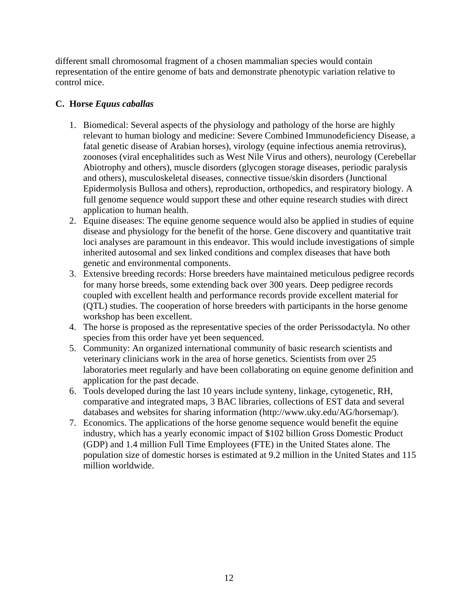different small chromosomal fragment of a chosen mammalian species would contain representation of the entire genome of bats and demonstrate phenotypic variation relative to control mice.

# **C. Horse** *Equus caballas*

- 1. Biomedical: Several aspects of the physiology and pathology of the horse are highly relevant to human biology and medicine: Severe Combined Immunodeficiency Disease, a fatal genetic disease of Arabian horses), virology (equine infectious anemia retrovirus), zoonoses (viral encephalitides such as West Nile Virus and others), neurology (Cerebellar Abiotrophy and others), muscle disorders (glycogen storage diseases, periodic paralysis and others), musculoskeletal diseases, connective tissue/skin disorders (Junctional Epidermolysis Bullosa and others), reproduction, orthopedics, and respiratory biology. A full genome sequence would support these and other equine research studies with direct application to human health.
- 2. Equine diseases: The equine genome sequence would also be applied in studies of equine disease and physiology for the benefit of the horse. Gene discovery and quantitative trait loci analyses are paramount in this endeavor. This would include investigations of simple inherited autosomal and sex linked conditions and complex diseases that have both genetic and environmental components.
- 3. Extensive breeding records: Horse breeders have maintained meticulous pedigree records for many horse breeds, some extending back over 300 years. Deep pedigree records coupled with excellent health and performance records provide excellent material for (QTL) studies. The cooperation of horse breeders with participants in the horse genome workshop has been excellent.
- 4. The horse is proposed as the representative species of the order Perissodactyla. No other species from this order have yet been sequenced.
- 5. Community: An organized international community of basic research scientists and veterinary clinicians work in the area of horse genetics. Scientists from over 25 laboratories meet regularly and have been collaborating on equine genome definition and application for the past decade.
- 6. Tools developed during the last 10 years include synteny, linkage, cytogenetic, RH, comparative and integrated maps, 3 BAC libraries, collections of EST data and several databases and websites for sharing information (http://www.uky.edu/AG/horsemap/).
- 7. Economics. The applications of the horse genome sequence would benefit the equine industry, which has a yearly economic impact of \$102 billion Gross Domestic Product (GDP) and 1.4 million Full Time Employees (FTE) in the United States alone. The population size of domestic horses is estimated at 9.2 million in the United States and 115 million worldwide.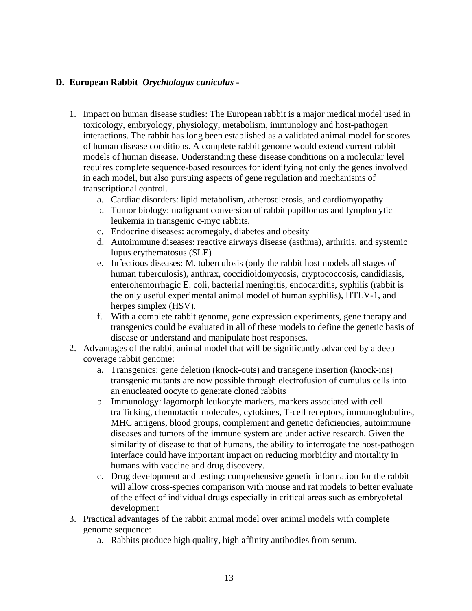# **D. European Rabbit** *Orychtolagus cuniculus* **-**

- 1. Impact on human disease studies: The European rabbit is a major medical model used in toxicology, embryology, physiology, metabolism, immunology and host-pathogen interactions. The rabbit has long been established as a validated animal model for scores of human disease conditions. A complete rabbit genome would extend current rabbit models of human disease. Understanding these disease conditions on a molecular level requires complete sequence-based resources for identifying not only the genes involved in each model, but also pursuing aspects of gene regulation and mechanisms of transcriptional control.
	- a. Cardiac disorders: lipid metabolism, atherosclerosis, and cardiomyopathy
	- b. Tumor biology: malignant conversion of rabbit papillomas and lymphocytic leukemia in transgenic c-myc rabbits.
	- c. Endocrine diseases: acromegaly, diabetes and obesity
	- d. Autoimmune diseases: reactive airways disease (asthma), arthritis, and systemic lupus erythematosus (SLE)
	- e. Infectious diseases: M. tuberculosis (only the rabbit host models all stages of human tuberculosis), anthrax, coccidioidomycosis, cryptococcosis, candidiasis, enterohemorrhagic E. coli, bacterial meningitis, endocarditis, syphilis (rabbit is the only useful experimental animal model of human syphilis), HTLV-1, and herpes simplex (HSV).
	- f. With a complete rabbit genome, gene expression experiments, gene therapy and transgenics could be evaluated in all of these models to define the genetic basis of disease or understand and manipulate host responses.
- 2. Advantages of the rabbit animal model that will be significantly advanced by a deep coverage rabbit genome:
	- a. Transgenics: gene deletion (knock-outs) and transgene insertion (knock-ins) transgenic mutants are now possible through electrofusion of cumulus cells into an enucleated oocyte to generate cloned rabbits
	- b. Immunology: lagomorph leukocyte markers, markers associated with cell trafficking, chemotactic molecules, cytokines, T-cell receptors, immunoglobulins, MHC antigens, blood groups, complement and genetic deficiencies, autoimmune diseases and tumors of the immune system are under active research. Given the similarity of disease to that of humans, the ability to interrogate the host-pathogen interface could have important impact on reducing morbidity and mortality in humans with vaccine and drug discovery.
	- c. Drug development and testing: comprehensive genetic information for the rabbit will allow cross-species comparison with mouse and rat models to better evaluate of the effect of individual drugs especially in critical areas such as embryofetal development
- 3. Practical advantages of the rabbit animal model over animal models with complete genome sequence:
	- a. Rabbits produce high quality, high affinity antibodies from serum.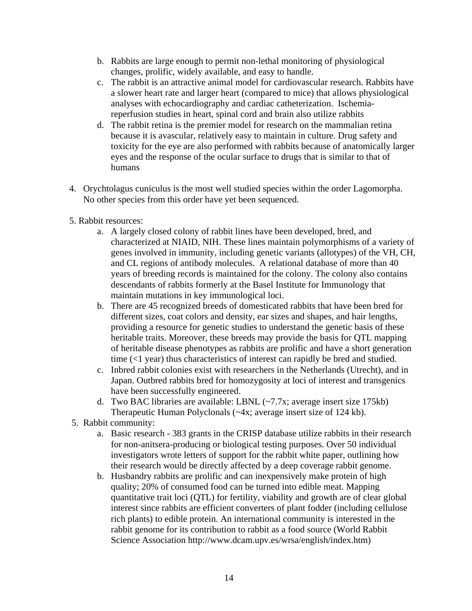- b. Rabbits are large enough to permit non-lethal monitoring of physiological changes, prolific, widely available, and easy to handle.
- c. The rabbit is an attractive animal model for cardiovascular research. Rabbits have a slower heart rate and larger heart (compared to mice) that allows physiological analyses with echocardiography and cardiac catheterization. Ischemiareperfusion studies in heart, spinal cord and brain also utilize rabbits
- d. The rabbit retina is the premier model for research on the mammalian retina because it is avascular, relatively easy to maintain in culture. Drug safety and toxicity for the eye are also performed with rabbits because of anatomically larger eyes and the response of the ocular surface to drugs that is similar to that of humans
- 4. Orychtolagus cuniculus is the most well studied species within the order Lagomorpha. No other species from this order have yet been sequenced.
- 5. Rabbit resources:
	- a. A largely closed colony of rabbit lines have been developed, bred, and characterized at NIAID, NIH. These lines maintain polymorphisms of a variety of genes involved in immunity, including genetic variants (allotypes) of the VH, CH, and CL regions of antibody molecules. A relational database of more than 40 years of breeding records is maintained for the colony. The colony also contains descendants of rabbits formerly at the Basel Institute for Immunology that maintain mutations in key immunological loci.
	- b. There are 45 recognized breeds of domesticated rabbits that have been bred for different sizes, coat colors and density, ear sizes and shapes, and hair lengths, providing a resource for genetic studies to understand the genetic basis of these heritable traits. Moreover, these breeds may provide the basis for QTL mapping of heritable disease phenotypes as rabbits are prolific and have a short generation time (<1 year) thus characteristics of interest can rapidly be bred and studied.
	- c. Inbred rabbit colonies exist with researchers in the Netherlands (Utrecht), and in Japan. Outbred rabbits bred for homozygosity at loci of interest and transgenics have been successfully engineered.
	- d. Two BAC libraries are available: LBNL (~7.7x; average insert size 175kb) Therapeutic Human Polyclonals (~4x; average insert size of 124 kb).
- 5. Rabbit community:
	- a. Basic research 383 grants in the CRISP database utilize rabbits in their research for non-anitsera-producing or biological testing purposes. Over 50 individual investigators wrote letters of support for the rabbit white paper, outlining how their research would be directly affected by a deep coverage rabbit genome.
	- b. Husbandry rabbits are prolific and can inexpensively make protein of high quality; 20% of consumed food can be turned into edible meat. Mapping quantitative trait loci (QTL) for fertility, viability and growth are of clear global interest since rabbits are efficient converters of plant fodder (including cellulose rich plants) to edible protein. An international community is interested in the rabbit genome for its contribution to rabbit as a food source (World Rabbit Science Association http://www.dcam.upv.es/wrsa/english/index.htm)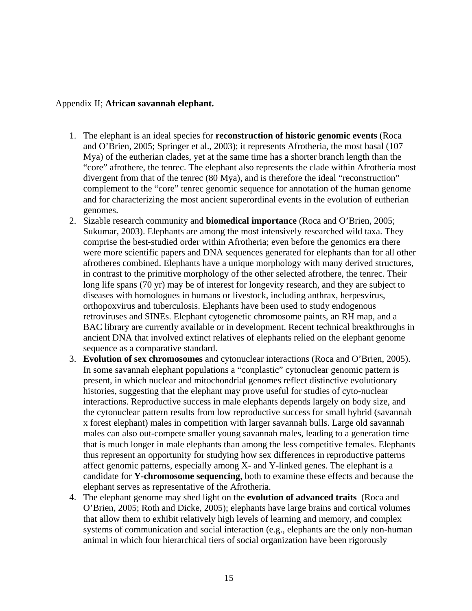## Appendix II; **African savannah elephant.**

- 1. The elephant is an ideal species for **reconstruction of historic genomic events** (Roca and O'Brien, 2005; Springer et al., 2003); it represents Afrotheria, the most basal (107 Mya) of the eutherian clades, yet at the same time has a shorter branch length than the "core" afrothere, the tenrec. The elephant also represents the clade within Afrotheria most divergent from that of the tenrec (80 Mya), and is therefore the ideal "reconstruction" complement to the "core" tenrec genomic sequence for annotation of the human genome and for characterizing the most ancient superordinal events in the evolution of eutherian genomes.
- 2. Sizable research community and **biomedical importance** (Roca and O'Brien, 2005; Sukumar, 2003). Elephants are among the most intensively researched wild taxa. They comprise the best-studied order within Afrotheria; even before the genomics era there were more scientific papers and DNA sequences generated for elephants than for all other afrotheres combined. Elephants have a unique morphology with many derived structures, in contrast to the primitive morphology of the other selected afrothere, the tenrec. Their long life spans (70 yr) may be of interest for longevity research, and they are subject to diseases with homologues in humans or livestock, including anthrax, herpesvirus, orthopoxvirus and tuberculosis. Elephants have been used to study endogenous retroviruses and SINEs. Elephant cytogenetic chromosome paints, an RH map, and a BAC library are currently available or in development. Recent technical breakthroughs in ancient DNA that involved extinct relatives of elephants relied on the elephant genome sequence as a comparative standard.
- 3. **Evolution of sex chromosomes** and cytonuclear interactions (Roca and O'Brien, 2005). In some savannah elephant populations a "conplastic" cytonuclear genomic pattern is present, in which nuclear and mitochondrial genomes reflect distinctive evolutionary histories, suggesting that the elephant may prove useful for studies of cyto-nuclear interactions. Reproductive success in male elephants depends largely on body size, and the cytonuclear pattern results from low reproductive success for small hybrid (savannah x forest elephant) males in competition with larger savannah bulls. Large old savannah males can also out-compete smaller young savannah males, leading to a generation time that is much longer in male elephants than among the less competitive females. Elephants thus represent an opportunity for studying how sex differences in reproductive patterns affect genomic patterns, especially among X- and Y-linked genes. The elephant is a candidate for **Y-chromosome sequencing**, both to examine these effects and because the elephant serves as representative of the Afrotheria.
- 4. The elephant genome may shed light on the **evolution of advanced traits** (Roca and O'Brien, 2005; Roth and Dicke, 2005); elephants have large brains and cortical volumes that allow them to exhibit relatively high levels of learning and memory, and complex systems of communication and social interaction (e.g., elephants are the only non-human animal in which four hierarchical tiers of social organization have been rigorously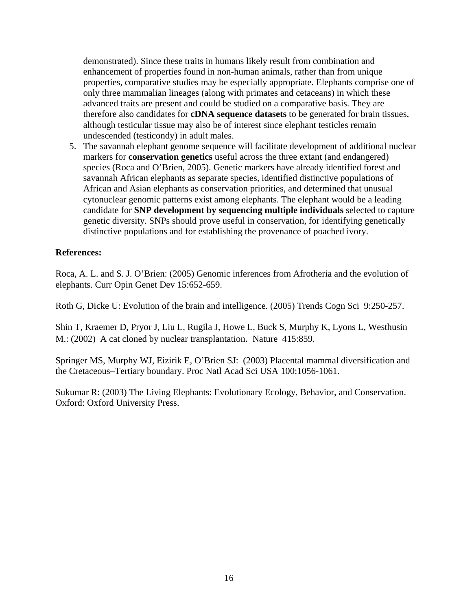demonstrated). Since these traits in humans likely result from combination and enhancement of properties found in non-human animals, rather than from unique properties, comparative studies may be especially appropriate. Elephants comprise one of only three mammalian lineages (along with primates and cetaceans) in which these advanced traits are present and could be studied on a comparative basis. They are therefore also candidates for **cDNA sequence datasets** to be generated for brain tissues, although testicular tissue may also be of interest since elephant testicles remain undescended (testicondy) in adult males.

5. The savannah elephant genome sequence will facilitate development of additional nuclear markers for **conservation genetics** useful across the three extant (and endangered) species (Roca and O'Brien, 2005). Genetic markers have already identified forest and savannah African elephants as separate species, identified distinctive populations of African and Asian elephants as conservation priorities, and determined that unusual cytonuclear genomic patterns exist among elephants. The elephant would be a leading candidate for **SNP development by sequencing multiple individuals** selected to capture genetic diversity. SNPs should prove useful in conservation, for identifying genetically distinctive populations and for establishing the provenance of poached ivory.

# **References:**

Roca, A. L. and S. J. O'Brien: (2005) Genomic inferences from Afrotheria and the evolution of elephants. Curr Opin Genet Dev 15:652-659.

Roth G, Dicke U: Evolution of the brain and intelligence. (2005) Trends Cogn Sci 9:250-257.

Shin T, Kraemer D, Pryor J, Liu L, Rugila J, Howe L, Buck S, Murphy K, Lyons L, Westhusin M.: (2002) A cat cloned by nuclear transplantation. Nature 415:859.

Springer MS, Murphy WJ, Eizirik E, O'Brien SJ: (2003) Placental mammal diversification and the Cretaceous–Tertiary boundary. Proc Natl Acad Sci USA 100:1056-1061.

Sukumar R: (2003) The Living Elephants: Evolutionary Ecology, Behavior, and Conservation. Oxford: Oxford University Press.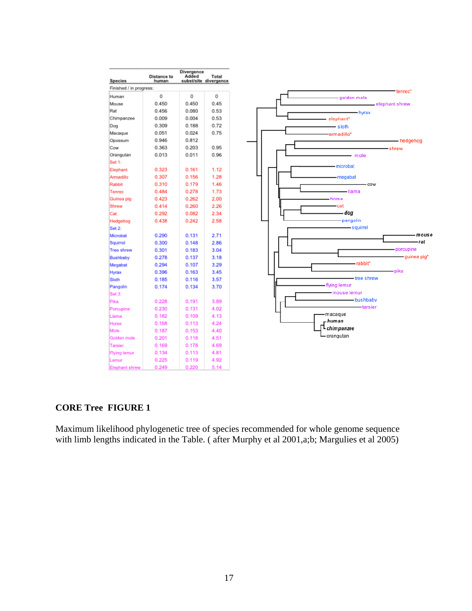

## **CORE Tree FIGURE 1**

Maximum likelihood phylogenetic tree of species recommended for whole genome sequence with limb lengths indicated in the Table. ( after Murphy et al 2001,a;b; Margulies et al 2005)